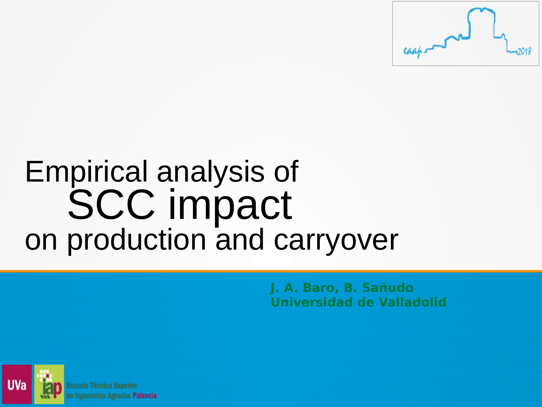

### Empirical analysis of SCC impact on production and carryover

**J. A. Baro, B. Sañudo Universidad de Valladolid**

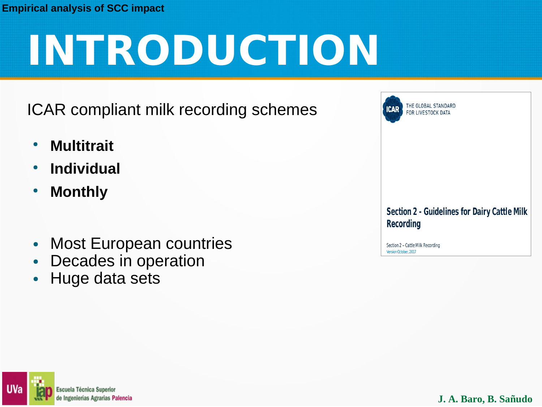# **INTRODUCTION**

ICAR compliant milk recording schemes

- **Multitrait**
- **Individual**
- **Monthly**
- Most European countries
- Decades in operation
- Huge data sets

**BAL STANDARD ESTOCK DATA** 

**Section 2 - Guidelines for Dairy Cattle Milk Recording** 

Section 2 - Cattle Milk Recording Version October, 2017

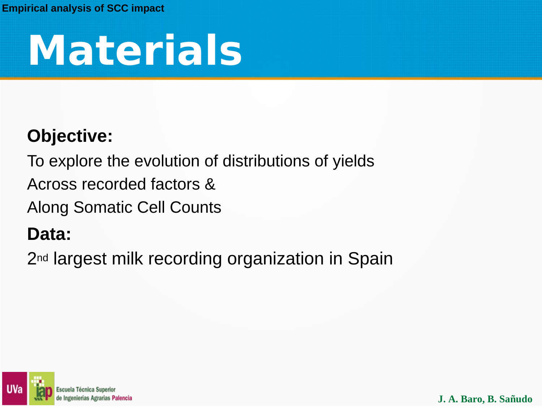## **Materials**

#### **Objective:**

To explore the evolution of distributions of yields

Across recorded factors &

Along Somatic Cell Counts

#### **Data:**

2<sup>nd</sup> largest milk recording organization in Spain

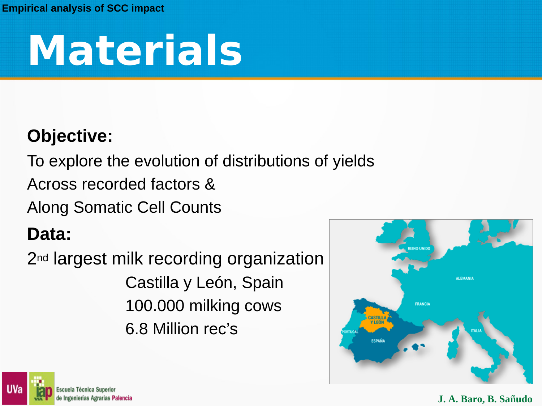## **Materials**

#### **Objective:**

To explore the evolution of distributions of yields

Across recorded factors &

Along Somatic Cell Counts

#### **Data:**

2<sup>nd</sup> largest milk recording organization Castilla y León, Spain 100.000 milking cows 6.8 Million rec's



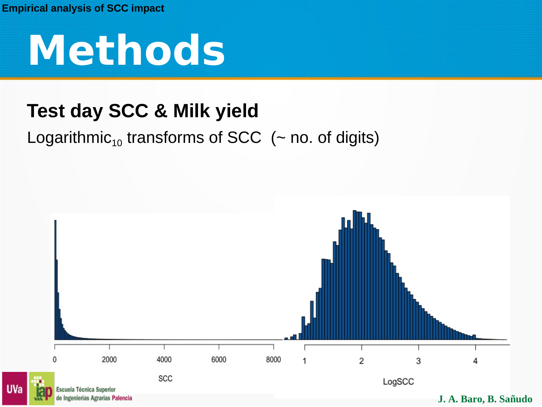**UVa** 

**Methods**

### **Test day SCC & Milk yield**

#### Logarithmic<sub>10</sub> transforms of SCC ( $\sim$  no. of digits)

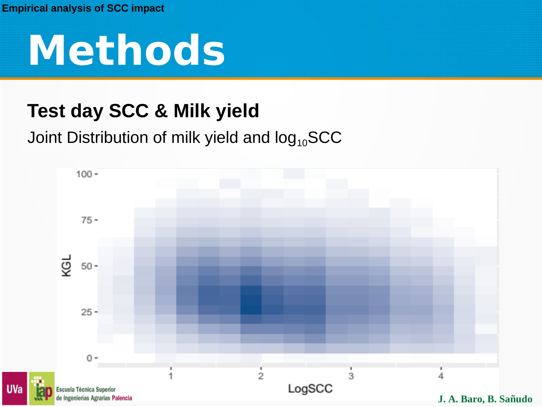**UVa** 



### **Test day SCC & Milk yield**

#### Joint Distribution of milk yield and  $log_{10}SCC$

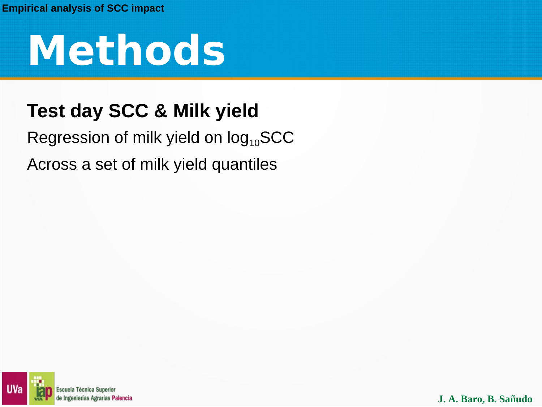

### **Test day SCC & Milk yield**

#### Regression of milk yield on  $log_{10}SCC$ Across a set of milk yield quantiles

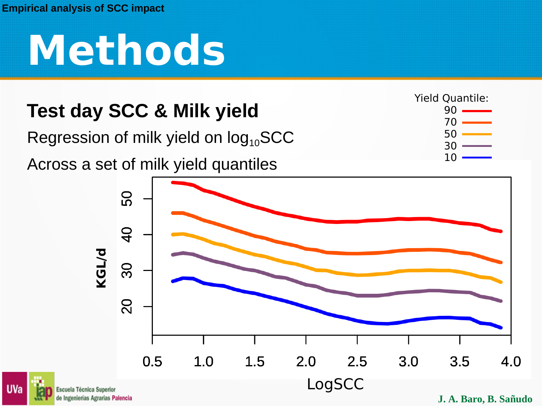**UVa** 

## **Methods**

### **Test day SCC & Milk yield**

Regression of milk yield on  $log_{10}SCC$ 

Across a set of milk yield quantiles



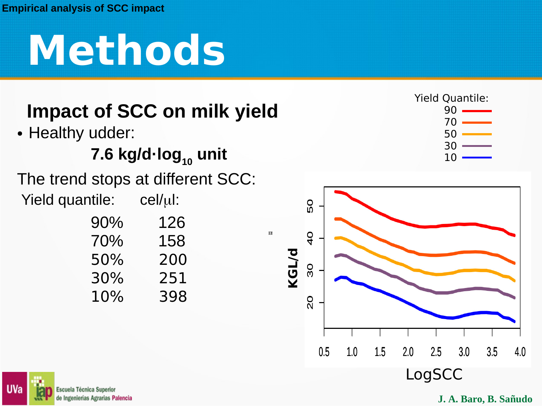## **Methods**

### **Impact of SCC on milk yield**

• Healthy udder:

#### 7.6 kg/d·log<sub>10</sub> unit

The trend stops at different SCC: Yield quantile:  $cell(u)$ :

| 90%    | 126 |
|--------|-----|
| 70%    | 158 |
| 50%    | 200 |
| 30%    | 251 |
| $10\%$ | 398 |

Yield Quantile:  $9<sub>0</sub>$  70 50 30 10



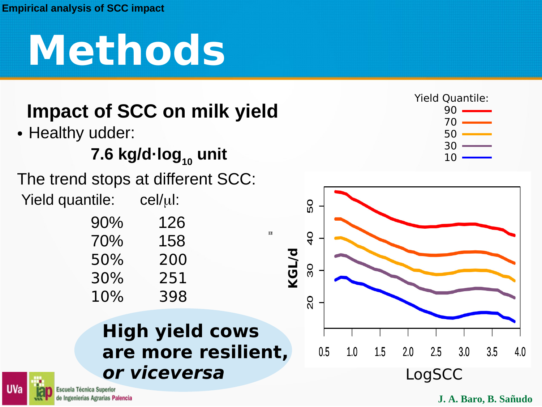## **Methods**

### **Impact of SCC on milk yield**

• Healthy udder:

#### 7.6 kg/d·log<sub>10</sub> unit

The trend stops at different SCC: Yield quantile:  $cell(u)$ :

| 90% | 126 |
|-----|-----|
| 70% | 158 |
| 50% | 200 |
| 30% | 251 |
| 10% | 398 |

**High yield cows are more resilient, or viceversa**

 $\overline{\mathbf{u}}$ 



Escuela Técnica Superior de Ingenierías Agrarias Palencia  30 10

Yield Quantile:  $9<sub>0</sub>$ 70

50

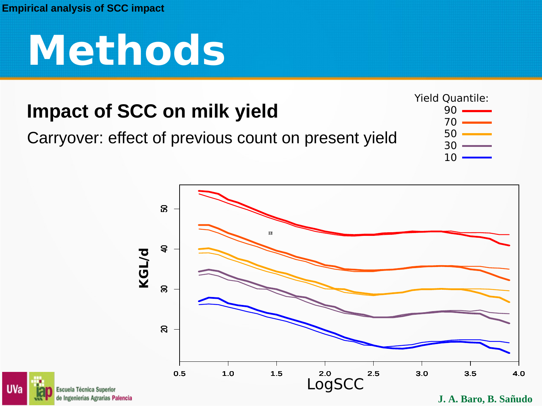

### **Impact of SCC on milk yield**

#### Carryover: effect of previous count on present yield





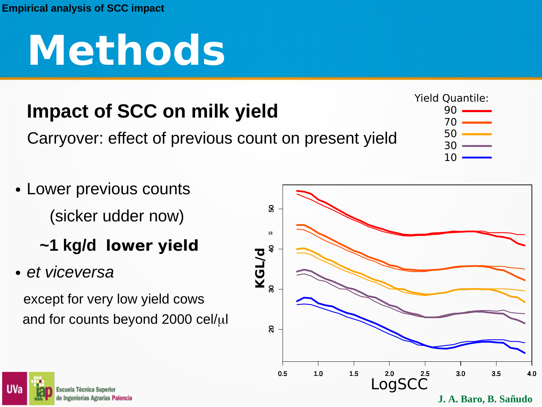## **Methods**

### **Impact of SCC on milk yield**

Carryover: effect of previous count on present yield



- Lower previous counts (sicker udder now)
	- **~1 kg/d lower yield**
- *et viceversa*

except for very low yield cows and for counts beyond 2000  $\text{cell}/\mu$ l



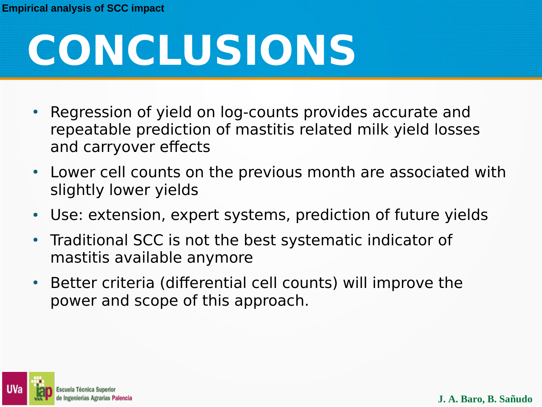# **CONCLUSIONS**

- Regression of yield on log-counts provides accurate and repeatable prediction of mastitis related milk yield losses and carryover efects
- Lower cell counts on the previous month are associated with slightly lower yields
- Use: extension, expert systems, prediction of future yields
- Traditional SCC is not the best systematic indicator of mastitis available anymore
- Better criteria (differential cell counts) will improve the power and scope of this approach.